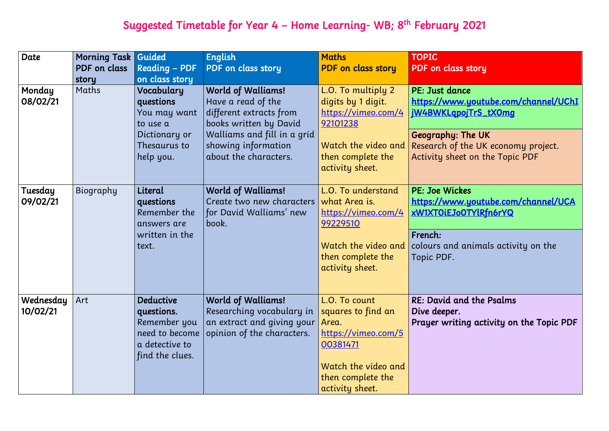# Suggested Timetable for Year 4 – Home Learning- WB; 8<sup>th</sup> February 2021

| Date                  | <b>Morning Task</b><br>PDF on class<br>story | Guided<br><b>Reading - PDF</b><br>on class story                                                      | <b>English</b><br>PDF on class story                                                                                                                                                | <b>Maths</b><br><b>PDF</b> on class story                                                                                                      | <b>TOPIC</b><br><b>PDF</b> on class                                                       |
|-----------------------|----------------------------------------------|-------------------------------------------------------------------------------------------------------|-------------------------------------------------------------------------------------------------------------------------------------------------------------------------------------|------------------------------------------------------------------------------------------------------------------------------------------------|-------------------------------------------------------------------------------------------|
| Monday<br>08/02/21    | Maths                                        | Vocabulary<br>questions<br>You may want<br>to use a<br>Dictionary or<br>Thesaurus to<br>help you.     | <b>World of Walliams!</b><br>Have a read of the<br>different extracts from<br>books written by David<br>Walliams and fill in a grid<br>showing information<br>about the characters. | L.O. To multiply 2<br>digits by 1 digit.<br>https://vimeo.com/4<br>92101238<br>Watch the video and<br>then complete the<br>activity sheet.     | PE: Just dan<br>https://www<br>jW4BWKLqpd<br>Geography:<br>Research of t<br>Activity shee |
| Tuesday<br>09/02/21   | Biography                                    | Literal<br>questions<br>Remember the<br>answers are<br>written in the<br>text.                        | <b>World of Walliams!</b><br>Create two new characters<br>for David Walliams' new<br>book.                                                                                          | L.O. To understand<br>what Area is.<br>https://vimeo.com/4<br>99229510<br>Watch the video and<br>then complete the<br>activity sheet.          | PE: Joe Wick<br>https://www<br>xW1XTOiEJo<br>French:<br>colours and<br>Topic PDF.         |
| Wednesday<br>10/02/21 | Art                                          | <b>Deductive</b><br>questions.<br>Remember you<br>need to become<br>a detective to<br>find the clues. | <b>World of Walliams!</b><br>Researching vocabulary in<br>an extract and giving your<br>opinion of the characters.                                                                  | L.O. To count<br>squares to find an<br>Area.<br>https://vimeo.com/5<br>00381471<br>Watch the video and<br>then complete the<br>activity sheet. | RE: David an<br>Dive deeper.<br>Prayer writii                                             |

## s story

1ce <mark>w.youtube.com/channel/UChI</mark> ojTrS\_tX0mg

The UK the UK economy project. et on the Topic PDF

### kes

<mark>w.youtube.com/channel/UCA</mark> 0TYlRfn6rYQ

animals activity on the

nd the Psalms

ing activity on the Topic PDF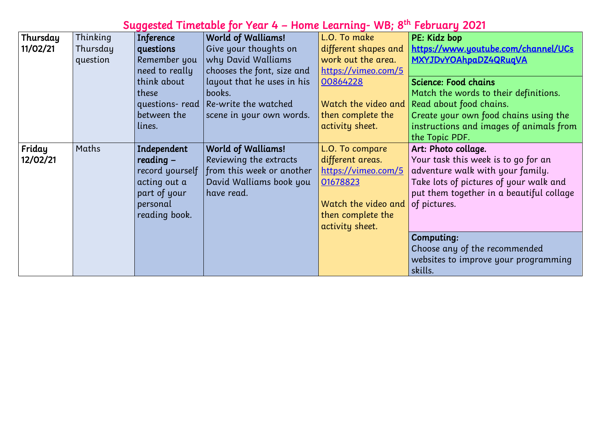# Suggested Timetable for Year 4 – Home Learning- WB; 8<sup>th</sup> February 2021

| Thursday | Thinking | <b>Inference</b> | <b>World of Walliams!</b>  | L.O. To make         | PE: Kidz bop         |
|----------|----------|------------------|----------------------------|----------------------|----------------------|
| 11/02/21 | Thursday | questions        | Give your thoughts on      | different shapes and | https://www          |
|          | question | Remember you     | why David Walliams         | work out the area.   | <b>MXYJDvYOAI</b>    |
|          |          | need to really   | chooses the font, size and | https://vimeo.com/5  |                      |
|          |          | think about      | layout that he uses in his | 00864228             | <b>Science: Food</b> |
|          |          | these            | books.                     |                      | Match the wo         |
|          |          | questions- read  | Re-write the watched       | Watch the video and  | Read about fo        |
|          |          | between the      | scene in your own words.   | then complete the    | Create your o        |
|          |          | lines.           |                            | activity sheet.      | instructions o       |
|          |          |                  |                            |                      | the Topic PDI        |
| Friday   | Maths    | Independent      | <b>World of Walliams!</b>  | L.O. To compare      | Art: Photo co        |
| 12/02/21 |          | $reading -$      | Reviewing the extracts     | different areas.     | Your task thi        |
|          |          | record yourself  | from this week or another  | https://vimeo.com/5  | adventure wo         |
|          |          | acting out a     | David Walliams book you    | 01678823             | Take lots of p       |
|          |          | part of your     | have read.                 |                      | put them tog         |
|          |          | personal         |                            | Watch the video and  | of pictures.         |
|          |          | reading book.    |                            | then complete the    |                      |
|          |          |                  |                            | activity sheet.      |                      |
|          |          |                  |                            |                      | Computing:           |
|          |          |                  |                            |                      | Choose any o         |
|          |          |                  |                            |                      | websites to in       |
|          |          |                  |                            |                      | skills.              |
|          |          |                  |                            |                      |                      |

w.youtube.com/channel/UCs hpaDZ4QRuqVA

## d chains

vords to their definitions.

food chains.

own food chains using the and images of animals from  $\mathsf{P}$ 

# .<br>ollage.

 $\tilde{\mathbf{u}}$  is to go for an valk with your family. pictures of your walk and gether in a beautiful collage

of the recommended improve your programming